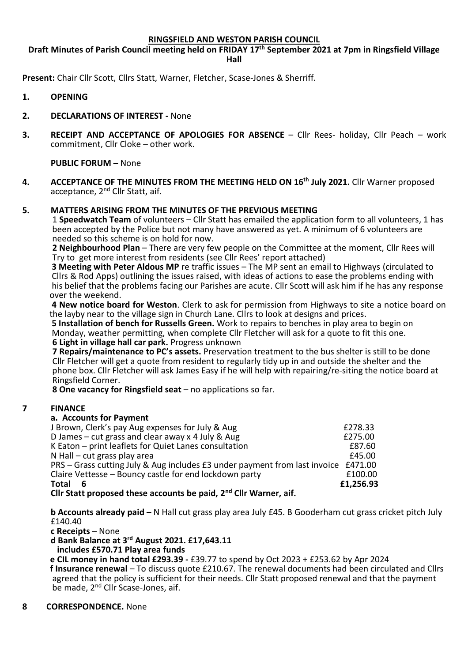### **RINGSFIELD AND WESTON PARISH COUNCIL**

## **Draft Minutes of Parish Council meeting held on FRIDAY 17th September 2021 at 7pm in Ringsfield Village Hall**

**Present:** Chair Cllr Scott, Cllrs Statt, Warner, Fletcher, Scase-Jones & Sherriff.

- **1. OPENING**
- **2. DECLARATIONS OF INTEREST -** None
- **3. RECEIPT AND ACCEPTANCE OF APOLOGIES FOR ABSENCE** Cllr Rees- holiday, Cllr Peach work commitment, Cllr Cloke – other work.

**PUBLIC FORUM –** None

**4. ACCEPTANCE OF THE MINUTES FROM THE MEETING HELD ON 16th July 2021.** Cllr Warner proposed acceptance, 2<sup>nd</sup> Cllr Statt, aif.

### **5. MATTERS ARISING FROM THE MINUTES OF THE PREVIOUS MEETING**

1 **Speedwatch Team** of volunteers – Cllr Statt has emailed the application form to all volunteers, 1 has been accepted by the Police but not many have answered as yet. A minimum of 6 volunteers are needed so this scheme is on hold for now.

 **2 Neighbourhood Plan** – There are very few people on the Committee at the moment, Cllr Rees will Try to get more interest from residents (see Cllr Rees' report attached)

**3 Meeting with Peter Aldous MP** re traffic issues – The MP sent an email to Highways (circulated to Cllrs & Rod Apps) outlining the issues raised, with ideas of actions to ease the problems ending with his belief that the problems facing our Parishes are acute. Cllr Scott will ask him if he has any response over the weekend.

**4 New notice board for Weston**. Clerk to ask for permission from Highways to site a notice board on the layby near to the village sign in Church Lane. Cllrs to look at designs and prices.

**5 Installation of bench for Russells Green.** Work to repairs to benches in play area to begin on Monday, weather permitting, when complete Cllr Fletcher will ask for a quote to fit this one. **6 Light in village hall car park.** Progress unknown

 **7 Repairs/maintenance to PC's assets.** Preservation treatment to the bus shelter is still to be done Cllr Fletcher will get a quote from resident to regularly tidy up in and outside the shelter and the phone box. Cllr Fletcher will ask James Easy if he will help with repairing/re-siting the notice board at Ringsfield Corner.

**8 One vacancy for Ringsfield seat** – no applications so far.

### **7 FINANCE**

#### **a. Accounts for Payment**

| J Brown, Clerk's pay Aug expenses for July & Aug                                   | £278.33   |
|------------------------------------------------------------------------------------|-----------|
| D James – cut grass and clear away x 4 July & Aug                                  | £275.00   |
| K Eaton - print leaflets for Quiet Lanes consultation                              | £87.60    |
| N Hall $-$ cut grass play area                                                     | £45.00    |
| PRS – Grass cutting July & Aug includes £3 under payment from last invoice £471.00 |           |
| Claire Vettesse - Bouncy castle for end lockdown party                             | £100.00   |
| Total                                                                              | £1,256.93 |
| elly Chatt was a seal these associate he waid. And elly Wewere a sif               |           |

**Cllr Statt proposed these accounts be paid, 2nd Cllr Warner, aif.**

**b Accounts already paid –** N Hall cut grass play area July £45. B Gooderham cut grass cricket pitch July £140.40

**c Receipts** – None

**d Bank Balance at 3rd August 2021. £17,643.11**

 **includes £570.71 Play area funds**

 **e CIL money in hand total £293.39 -** £39.77 to spend by Oct 2023 + £253.62 by Apr 2024 **f Insurance renewal** – To discuss quote £210.67. The renewal documents had been circulated and Cllrs agreed that the policy is sufficient for their needs. Cllr Statt proposed renewal and that the payment be made, 2<sup>nd</sup> Cllr Scase-Jones, aif.

### **8 CORRESPONDENCE.** None